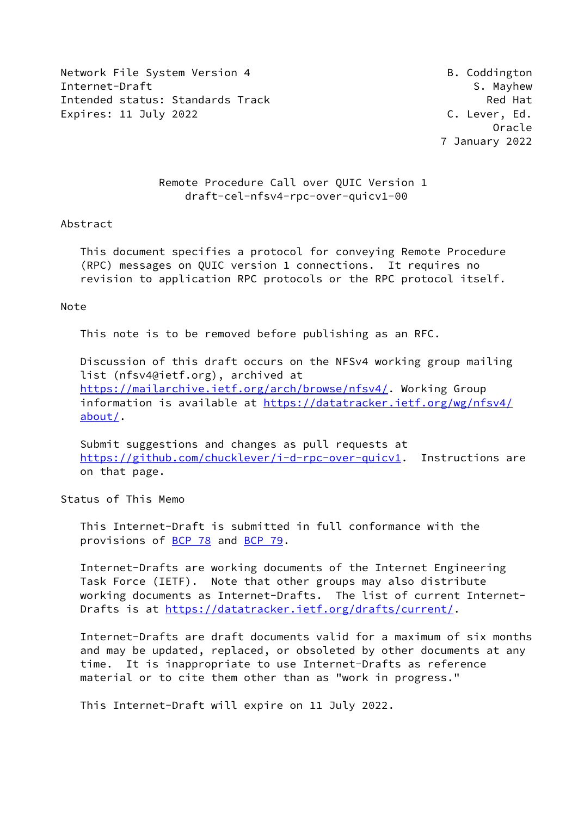Network File System Version 4 and B. Coddington Internet-Draft Samuel Communication of the S. Mayhew S. Mayhew Intended status: Standards Track Red Hat Expires: 11 July 2022 **C. Lever, Ed.** 

 Oracle 7 January 2022

# Remote Procedure Call over QUIC Version 1 draft-cel-nfsv4-rpc-over-quicv1-00

#### Abstract

 This document specifies a protocol for conveying Remote Procedure (RPC) messages on QUIC version 1 connections. It requires no revision to application RPC protocols or the RPC protocol itself.

#### Note

This note is to be removed before publishing as an RFC.

 Discussion of this draft occurs on the NFSv4 working group mailing list (nfsv4@ietf.org), archived at <https://mailarchive.ietf.org/arch/browse/nfsv4/>. Working Group information is available at [https://datatracker.ietf.org/wg/nfsv4/](https://datatracker.ietf.org/wg/nfsv4/about/) [about/](https://datatracker.ietf.org/wg/nfsv4/about/).

 Submit suggestions and changes as pull requests at <https://github.com/chucklever/i-d-rpc-over-quicv1>. Instructions are on that page.

Status of This Memo

 This Internet-Draft is submitted in full conformance with the provisions of [BCP 78](https://datatracker.ietf.org/doc/pdf/bcp78) and [BCP 79](https://datatracker.ietf.org/doc/pdf/bcp79).

 Internet-Drafts are working documents of the Internet Engineering Task Force (IETF). Note that other groups may also distribute working documents as Internet-Drafts. The list of current Internet Drafts is at<https://datatracker.ietf.org/drafts/current/>.

 Internet-Drafts are draft documents valid for a maximum of six months and may be updated, replaced, or obsoleted by other documents at any time. It is inappropriate to use Internet-Drafts as reference material or to cite them other than as "work in progress."

This Internet-Draft will expire on 11 July 2022.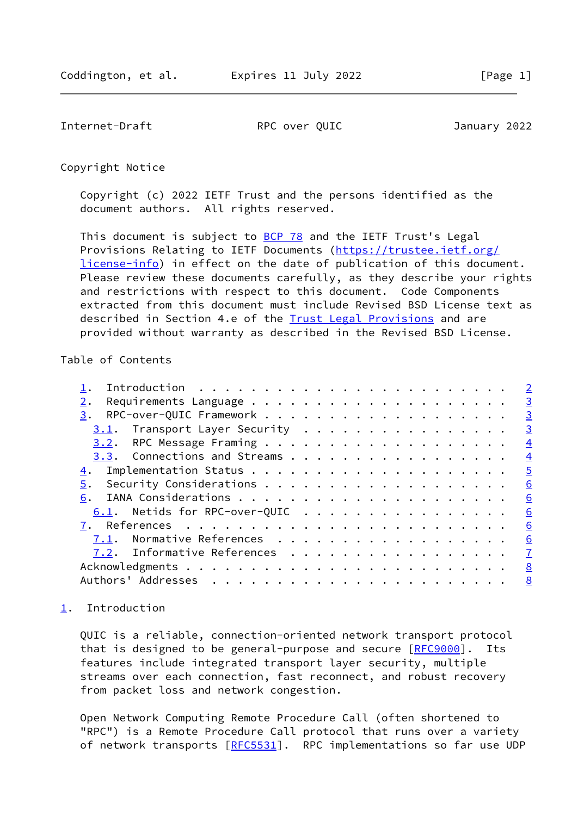<span id="page-1-1"></span>Internet-Draft RPC over QUIC January 2022

Copyright Notice

 Copyright (c) 2022 IETF Trust and the persons identified as the document authors. All rights reserved.

This document is subject to **[BCP 78](https://datatracker.ietf.org/doc/pdf/bcp78)** and the IETF Trust's Legal Provisions Relating to IETF Documents ([https://trustee.ietf.org/](https://trustee.ietf.org/license-info) [license-info](https://trustee.ietf.org/license-info)) in effect on the date of publication of this document. Please review these documents carefully, as they describe your rights and restrictions with respect to this document. Code Components extracted from this document must include Revised BSD License text as described in Section 4.e of the [Trust Legal Provisions](https://trustee.ietf.org/license-info) and are provided without warranty as described in the Revised BSD License.

#### Table of Contents

|                                  | $\overline{\phantom{0}}^2$ |
|----------------------------------|----------------------------|
| 2.                               |                            |
| 3.                               | $\overline{\mathbf{3}}$    |
| $3.1$ . Transport Layer Security | $\overline{\mathbf{3}}$    |
|                                  | $\frac{4}{1}$              |
| 3.3. Connections and Streams     | $\frac{4}{1}$              |
|                                  | $\overline{5}$             |
| 5.                               | 6                          |
| 6.                               | 6                          |
| $6.1$ . Netids for RPC-over-QUIC | 6                          |
|                                  | 6                          |
| 7.1. Normative References        | 6                          |
| 7.2. Informative References 7    |                            |
|                                  |                            |
|                                  |                            |
|                                  |                            |

## <span id="page-1-0"></span>[1](#page-1-0). Introduction

 QUIC is a reliable, connection-oriented network transport protocol that is designed to be general-purpose and secure [[RFC9000](https://datatracker.ietf.org/doc/pdf/rfc9000)]. Its features include integrated transport layer security, multiple streams over each connection, fast reconnect, and robust recovery from packet loss and network congestion.

 Open Network Computing Remote Procedure Call (often shortened to "RPC") is a Remote Procedure Call protocol that runs over a variety of network transports [[RFC5531](https://datatracker.ietf.org/doc/pdf/rfc5531)]. RPC implementations so far use UDP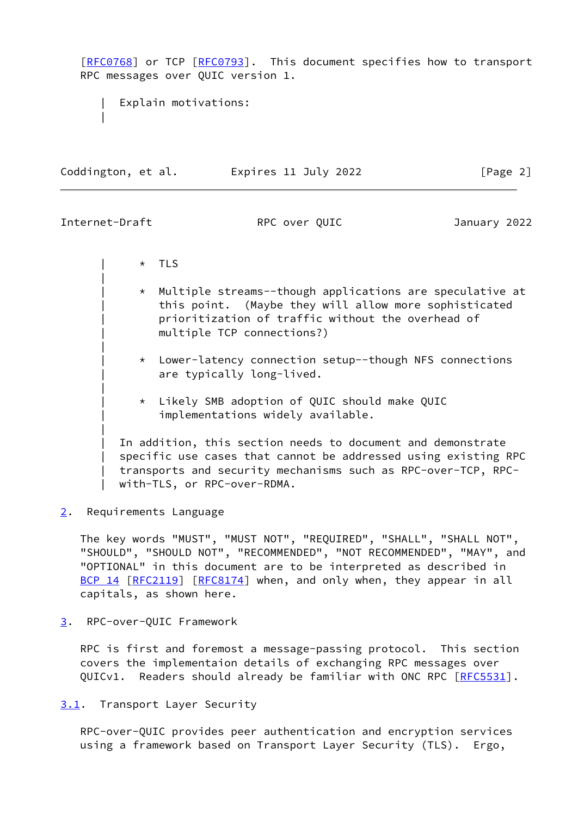[\[RFC0768](https://datatracker.ietf.org/doc/pdf/rfc0768)] or TCP [\[RFC0793](https://datatracker.ietf.org/doc/pdf/rfc0793)]. This document specifies how to transport RPC messages over QUIC version 1.

Explain motivations: || || || || || ||

Coddington, et al. Expires 11 July 2022 [Page 2]

<span id="page-2-1"></span>Internet-Draft RPC over QUIC January 2022

|| || || || || ||

|| || || || || ||

|| || || || || ||

|| || || || || ||

 $\star$  TLS

- | \* Multiple streams--though applications are speculative at this point. (Maybe they will allow more sophisticated prioritization of traffic without the overhead of multiple TCP connections?)
- | \* Lower-latency connection setup--though NFS connections are typically long-lived.
- | \* Likely SMB adoption of QUIC should make QUIC implementations widely available.

In addition, this section needs to document and demonstrate specific use cases that cannot be addressed using existing RPC | transports and security mechanisms such as RPC-over-TCP, RPC with-TLS, or RPC-over-RDMA.

<span id="page-2-0"></span>[2](#page-2-0). Requirements Language

 The key words "MUST", "MUST NOT", "REQUIRED", "SHALL", "SHALL NOT", "SHOULD", "SHOULD NOT", "RECOMMENDED", "NOT RECOMMENDED", "MAY", and "OPTIONAL" in this document are to be interpreted as described in [BCP 14](https://datatracker.ietf.org/doc/pdf/bcp14) [\[RFC2119](https://datatracker.ietf.org/doc/pdf/rfc2119)] [\[RFC8174](https://datatracker.ietf.org/doc/pdf/rfc8174)] when, and only when, they appear in all capitals, as shown here.

<span id="page-2-2"></span>[3](#page-2-2). RPC-over-QUIC Framework

 RPC is first and foremost a message-passing protocol. This section covers the implementaion details of exchanging RPC messages over QUICv1. Readers should already be familiar with ONC RPC [\[RFC5531](https://datatracker.ietf.org/doc/pdf/rfc5531)].

<span id="page-2-3"></span>[3.1](#page-2-3). Transport Layer Security

 RPC-over-QUIC provides peer authentication and encryption services using a framework based on Transport Layer Security (TLS). Ergo,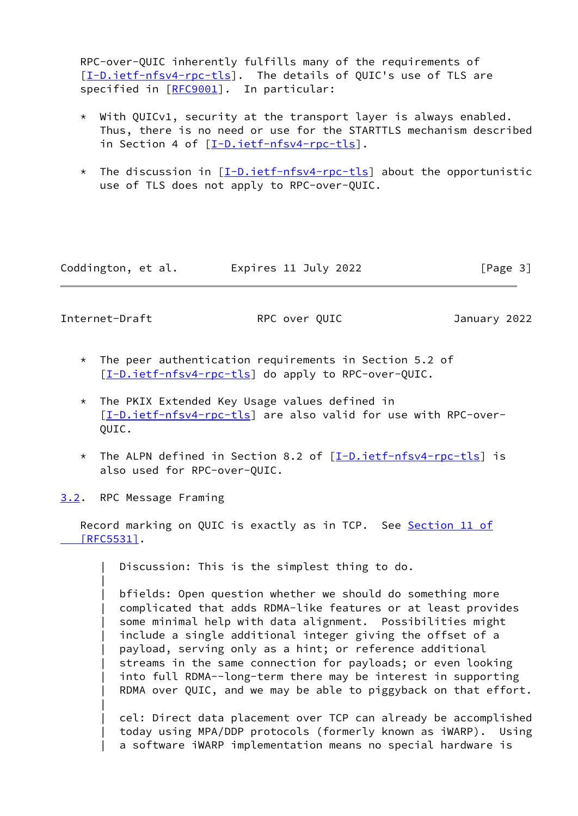RPC-over-QUIC inherently fulfills many of the requirements of [\[I-D.ietf-nfsv4-rpc-tls](#page-6-3)]. The details of QUIC's use of TLS are specified in [\[RFC9001](https://datatracker.ietf.org/doc/pdf/rfc9001)]. In particular:

- \* With QUICv1, security at the transport layer is always enabled. Thus, there is no need or use for the STARTTLS mechanism described in Section 4 of [[I-D.ietf-nfsv4-rpc-tls](#page-6-3)].
- \* The discussion in  $[I-D.ietf-nfsv4-pro-tls]$  about the opportunistic use of TLS does not apply to RPC-over-QUIC.

Coddington, et al. **Expires 11 July 2022** [Page 3]

<span id="page-3-1"></span>Internet-Draft RPC over QUIC January 2022

|| || || || || ||

|| || || || || ||

- \* The peer authentication requirements in Section 5.2 of [[I-D.ietf-nfsv4-rpc-tls](#page-6-3)] do apply to RPC-over-QUIC.
- \* The PKIX Extended Key Usage values defined in [[I-D.ietf-nfsv4-rpc-tls](#page-6-3)] are also valid for use with RPC-over- QUIC.
- \* The ALPN defined in Section 8.2 of [[I-D.ietf-nfsv4-rpc-tls](#page-6-3)] is also used for RPC-over-QUIC.
- <span id="page-3-0"></span>[3.2](#page-3-0). RPC Message Framing

 Record marking on QUIC is exactly as in TCP. See [Section](https://datatracker.ietf.org/doc/pdf/rfc5531#section-11) 11 of  $[RFC5531]$ .

Discussion: This is the simplest thing to do.

bfields: Open question whether we should do something more complicated that adds RDMA-like features or at least provides some minimal help with data alignment. Possibilities might include a single additional integer giving the offset of a payload, serving only as a hint; or reference additional streams in the same connection for payloads; or even looking into full RDMA--long-term there may be interest in supporting RDMA over QUIC, and we may be able to piggyback on that effort.

cel: Direct data placement over TCP can already be accomplished today using MPA/DDP protocols (formerly known as iWARP). Using a software iWARP implementation means no special hardware is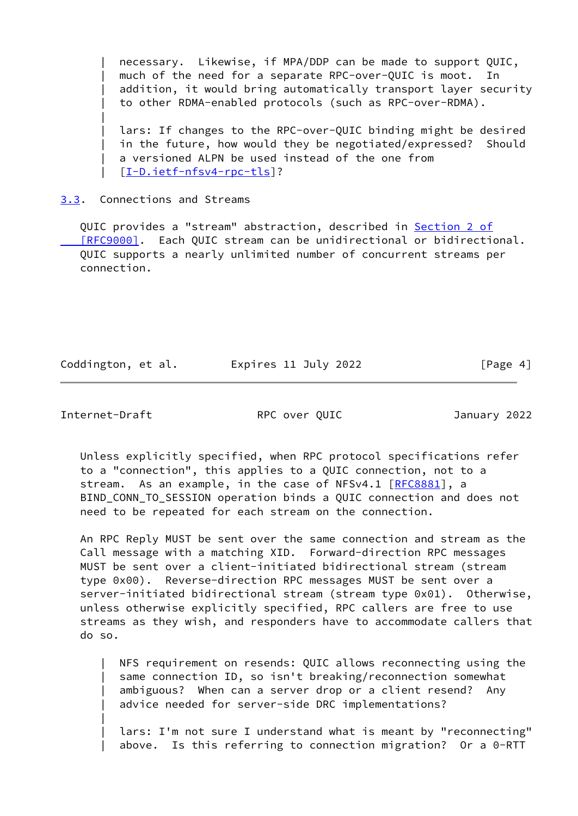necessary. Likewise, if MPA/DDP can be made to support QUIC, much of the need for a separate RPC-over-QUIC is moot. In addition, it would bring automatically transport layer security to other RDMA-enabled protocols (such as RPC-over-RDMA).

lars: If changes to the RPC-over-QUIC binding might be desired in the future, how would they be negotiated/expressed? Should a versioned ALPN be used instead of the one from | [[I-D.ietf-nfsv4-rpc-tls](#page-6-3)]?

### <span id="page-4-0"></span>[3.3](#page-4-0). Connections and Streams

QUIC provides a "stream" abstraction, described in [Section](https://datatracker.ietf.org/doc/pdf/rfc9000#section-2) 2 of [RFC9000]. Each QUIC stream can be unidirectional or bidirectional. QUIC supports a nearly unlimited number of concurrent streams per connection.

Coddington, et al. Expires 11 July 2022 [Page 4]

<span id="page-4-1"></span>Internet-Draft RPC over QUIC January 2022

|| || || || || ||

|| || || || || ||

 Unless explicitly specified, when RPC protocol specifications refer to a "connection", this applies to a QUIC connection, not to a stream. As an example, in the case of NFSv4.1 [\[RFC8881](https://datatracker.ietf.org/doc/pdf/rfc8881)], a BIND\_CONN\_TO\_SESSION operation binds a QUIC connection and does not need to be repeated for each stream on the connection.

 An RPC Reply MUST be sent over the same connection and stream as the Call message with a matching XID. Forward-direction RPC messages MUST be sent over a client-initiated bidirectional stream (stream type 0x00). Reverse-direction RPC messages MUST be sent over a server-initiated bidirectional stream (stream type 0x01). Otherwise, unless otherwise explicitly specified, RPC callers are free to use streams as they wish, and responders have to accommodate callers that do so.

NFS requirement on resends: QUIC allows reconnecting using the same connection ID, so isn't breaking/reconnection somewhat ambiguous? When can a server drop or a client resend? Any advice needed for server-side DRC implementations?

lars: I'm not sure I understand what is meant by "reconnecting" above. Is this referring to connection migration? Or a 0-RTT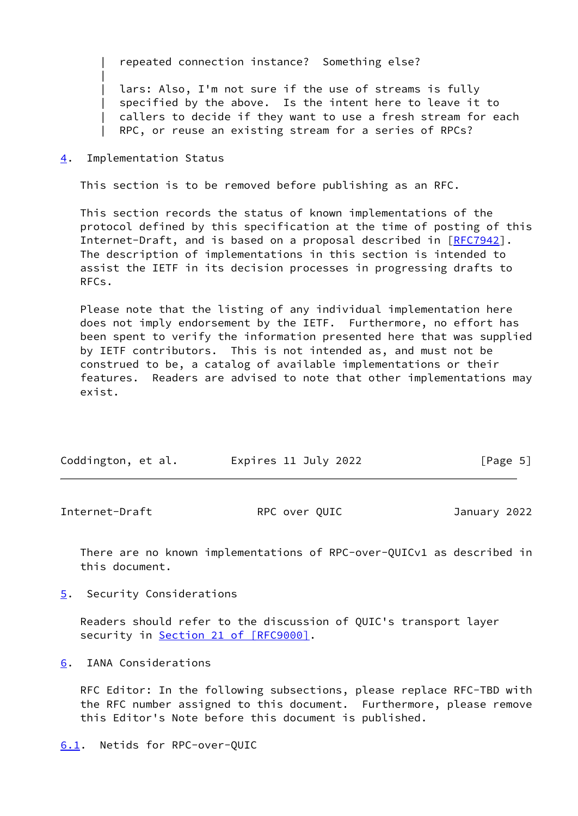| repeated connection instance? Something else?

lars: Also, I'm not sure if the use of streams is fully specified by the above. Is the intent here to leave it to callers to decide if they want to use a fresh stream for each RPC, or reuse an existing stream for a series of RPCs?

<span id="page-5-0"></span>[4](#page-5-0). Implementation Status

|| || || || || ||

This section is to be removed before publishing as an RFC.

 This section records the status of known implementations of the protocol defined by this specification at the time of posting of this Internet-Draft, and is based on a proposal described in [\[RFC7942](https://datatracker.ietf.org/doc/pdf/rfc7942)]. The description of implementations in this section is intended to assist the IETF in its decision processes in progressing drafts to RFCs.

 Please note that the listing of any individual implementation here does not imply endorsement by the IETF. Furthermore, no effort has been spent to verify the information presented here that was supplied by IETF contributors. This is not intended as, and must not be construed to be, a catalog of available implementations or their features. Readers are advised to note that other implementations may exist.

| Coddington, et al. | Expires 11 July 2022 | [Page 5] |
|--------------------|----------------------|----------|
|                    |                      |          |

<span id="page-5-2"></span>Internet-Draft RPC over QUIC January 2022

 There are no known implementations of RPC-over-QUICv1 as described in this document.

<span id="page-5-1"></span>[5](#page-5-1). Security Considerations

 Readers should refer to the discussion of QUIC's transport layer security in Section [21 of \[RFC9000\].](https://datatracker.ietf.org/doc/pdf/rfc9000#section-21)

<span id="page-5-3"></span>[6](#page-5-3). IANA Considerations

 RFC Editor: In the following subsections, please replace RFC-TBD with the RFC number assigned to this document. Furthermore, please remove this Editor's Note before this document is published.

```
6.1. Netids for RPC-over-QUIC
```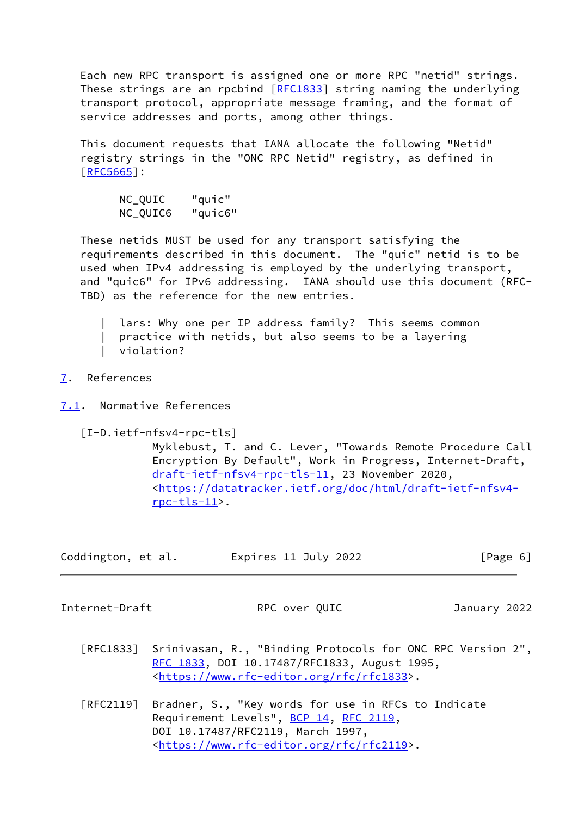Each new RPC transport is assigned one or more RPC "netid" strings. These strings are an rpcbind [\[RFC1833](https://datatracker.ietf.org/doc/pdf/rfc1833)] string naming the underlying transport protocol, appropriate message framing, and the format of service addresses and ports, among other things.

 This document requests that IANA allocate the following "Netid" registry strings in the "ONC RPC Netid" registry, as defined in [\[RFC5665](https://datatracker.ietf.org/doc/pdf/rfc5665)]:

 NC\_QUIC "quic" NC\_QUIC6 "quic6"

 These netids MUST be used for any transport satisfying the requirements described in this document. The "quic" netid is to be used when IPv4 addressing is employed by the underlying transport, and "quic6" for IPv6 addressing. IANA should use this document (RFC- TBD) as the reference for the new entries.

lars: Why one per IP address family? This seems common practice with netids, but also seems to be a layering violation?

### <span id="page-6-0"></span>[7](#page-6-0). References

<span id="page-6-1"></span>[7.1](#page-6-1). Normative References

<span id="page-6-3"></span>[I-D.ietf-nfsv4-rpc-tls]

 Myklebust, T. and C. Lever, "Towards Remote Procedure Call Encryption By Default", Work in Progress, Internet-Draft, [draft-ietf-nfsv4-rpc-tls-11](https://datatracker.ietf.org/doc/pdf/draft-ietf-nfsv4-rpc-tls-11), 23 November 2020, <[https://datatracker.ietf.org/doc/html/draft-ietf-nfsv4](https://datatracker.ietf.org/doc/html/draft-ietf-nfsv4-rpc-tls-11) [rpc-tls-11>](https://datatracker.ietf.org/doc/html/draft-ietf-nfsv4-rpc-tls-11).

| Coddington, et al. | Expires 11 July 2022 | [Page 6] |
|--------------------|----------------------|----------|
|                    |                      |          |

<span id="page-6-2"></span>Internet-Draft RPC over QUIC January 2022

- [RFC1833] Srinivasan, R., "Binding Protocols for ONC RPC Version 2", [RFC 1833,](https://datatracker.ietf.org/doc/pdf/rfc1833) DOI 10.17487/RFC1833, August 1995, <<https://www.rfc-editor.org/rfc/rfc1833>>.
- [RFC2119] Bradner, S., "Key words for use in RFCs to Indicate Requirement Levels", [BCP 14](https://datatracker.ietf.org/doc/pdf/bcp14), [RFC 2119](https://datatracker.ietf.org/doc/pdf/rfc2119), DOI 10.17487/RFC2119, March 1997, <<https://www.rfc-editor.org/rfc/rfc2119>>.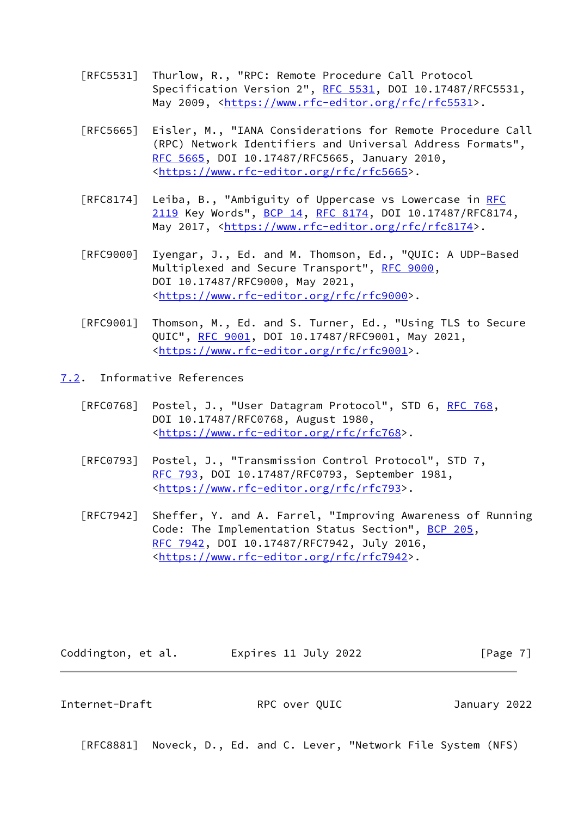- [RFC5531] Thurlow, R., "RPC: Remote Procedure Call Protocol Specification Version 2", [RFC 5531](https://datatracker.ietf.org/doc/pdf/rfc5531), DOI 10.17487/RFC5531, May 2009, [<https://www.rfc-editor.org/rfc/rfc5531](https://www.rfc-editor.org/rfc/rfc5531)>.
- [RFC5665] Eisler, M., "IANA Considerations for Remote Procedure Call (RPC) Network Identifiers and Universal Address Formats", [RFC 5665,](https://datatracker.ietf.org/doc/pdf/rfc5665) DOI 10.17487/RFC5665, January 2010, <<https://www.rfc-editor.org/rfc/rfc5665>>.
- [RFC8174] Leiba, B., "Ambiguity of Uppercase vs Lowercase in [RFC](https://datatracker.ietf.org/doc/pdf/rfc2119) [2119](https://datatracker.ietf.org/doc/pdf/rfc2119) Key Words", [BCP 14](https://datatracker.ietf.org/doc/pdf/bcp14), [RFC 8174,](https://datatracker.ietf.org/doc/pdf/rfc8174) DOI 10.17487/RFC8174, May 2017, [<https://www.rfc-editor.org/rfc/rfc8174](https://www.rfc-editor.org/rfc/rfc8174)>.
- [RFC9000] Iyengar, J., Ed. and M. Thomson, Ed., "QUIC: A UDP-Based Multiplexed and Secure Transport", [RFC 9000](https://datatracker.ietf.org/doc/pdf/rfc9000), DOI 10.17487/RFC9000, May 2021, <<https://www.rfc-editor.org/rfc/rfc9000>>.
- [RFC9001] Thomson, M., Ed. and S. Turner, Ed., "Using TLS to Secure QUIC", [RFC 9001](https://datatracker.ietf.org/doc/pdf/rfc9001), DOI 10.17487/RFC9001, May 2021, <<https://www.rfc-editor.org/rfc/rfc9001>>.
- <span id="page-7-0"></span>[7.2](#page-7-0). Informative References
	- [RFC0768] Postel, J., "User Datagram Protocol", STD 6, [RFC 768](https://datatracker.ietf.org/doc/pdf/rfc768), DOI 10.17487/RFC0768, August 1980, <[https://www.rfc-editor.org/rfc/rfc768>](https://www.rfc-editor.org/rfc/rfc768).
	- [RFC0793] Postel, J., "Transmission Control Protocol", STD 7, [RFC 793](https://datatracker.ietf.org/doc/pdf/rfc793), DOI 10.17487/RFC0793, September 1981, <[https://www.rfc-editor.org/rfc/rfc793>](https://www.rfc-editor.org/rfc/rfc793).
	- [RFC7942] Sheffer, Y. and A. Farrel, "Improving Awareness of Running Code: The Implementation Status Section", [BCP 205](https://datatracker.ietf.org/doc/pdf/bcp205), [RFC 7942,](https://datatracker.ietf.org/doc/pdf/rfc7942) DOI 10.17487/RFC7942, July 2016, <<https://www.rfc-editor.org/rfc/rfc7942>>.

Coddington, et al. Expires 11 July 2022 [Page 7]

<span id="page-7-1"></span>Internet-Draft RPC over QUIC January 2022

[RFC8881] Noveck, D., Ed. and C. Lever, "Network File System (NFS)